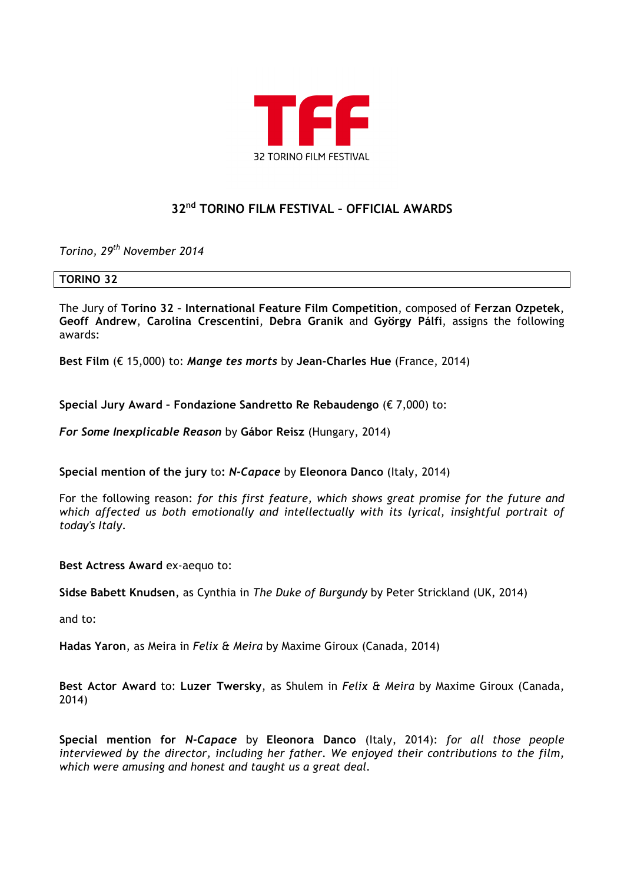

# **32nd TORINO FILM FESTIVAL – OFFICIAL AWARDS**

*Torino, 29th November 2014*

## **TORINO 32**

The Jury of **Torino 32 – International Feature Film Competition**, composed of **Ferzan Ozpetek**, **Geoff Andrew**, **Carolina Crescentini**, **Debra Granik** and **György Pálfi**, assigns the following awards:

**Best Film** (€ 15,000) to: *Mange tes morts* by **Jean-Charles Hue** (France, 2014)

**Special Jury Award – Fondazione Sandretto Re Rebaudengo** (€ 7,000) to:

*For Some Inexplicable Reason* by **Gábor Reisz** (Hungary, 2014)

**Special mention of the jury** to**:** *N-Capace* by **Eleonora Danco** (Italy, 2014)

For the following reason: *for this first feature, which shows great promise for the future and which affected us both emotionally and intellectually with its lyrical, insightful portrait of today's Italy*.

**Best Actress Award** ex-aequo to:

**Sidse Babett Knudsen**, as Cynthia in *The Duke of Burgundy* by Peter Strickland (UK, 2014)

and to:

**Hadas Yaron**, as Meira in *Felix & Meira* by Maxime Giroux (Canada, 2014)

**Best Actor Award** to: **Luzer Twersky**, as Shulem in *Felix & Meira* by Maxime Giroux (Canada, 2014)

**Special mention for** *N-Capace* by **Eleonora Danco** (Italy, 2014): *for all those people interviewed by the director, including her father. We enjoyed their contributions to the film, which were amusing and honest and taught us a great deal.*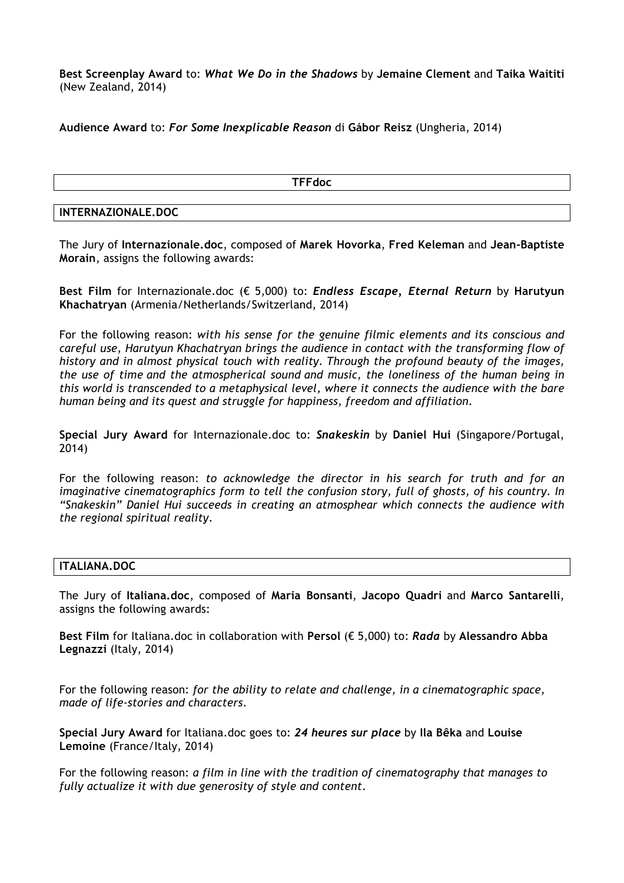**Best Screenplay Award** to: *What We Do in the Shadows* by **Jemaine Clement** and **Taika Waititi** (New Zealand, 2014)

**Audience Award** to: *For Some Inexplicable Reason* di **Gábor Reisz** (Ungheria, 2014)

**TFFdoc**

#### **INTERNAZIONALE.DOC**

The Jury of **Internazionale.doc**, composed of **Marek Hovorka**, **Fred Keleman** and **Jean-Baptiste Morain**, assigns the following awards:

**Best Film** for Internazionale.doc (€ 5,000) to: *Endless Escape, Eternal Return* by **Harutyun Khachatryan** (Armenia/Netherlands/Switzerland, 2014)

For the following reason: *with his sense for the genuine filmic elements and its conscious and careful use, Harutyun Khachatryan brings the audience in contact with the transforming flow of history and in almost physical touch with reality. Through the profound beauty of the images, the use of time and the atmospherical sound and music, the loneliness of the human being in this world is transcended to a metaphysical level, where it connects the audience with the bare human being and its quest and struggle for happiness, freedom and affiliation*.

**Special Jury Award** for Internazionale.doc to: *Snakeskin* by **Daniel Hui** (Singapore/Portugal, 2014)

For the following reason: *to acknowledge the director in his search for truth and for an imaginative cinematographics form to tell the confusion story, full of ghosts, of his country. In "Snakeskin" Daniel Hui succeeds in creating an atmosphear which connects the audience with the regional spiritual reality*.

# **ITALIANA.DOC**

The Jury of **Italiana.doc**, composed of **Maria Bonsanti**, **Jacopo Quadri** and **Marco Santarelli**, assigns the following awards:

**Best Film** for Italiana.doc in collaboration with **Persol** (€ 5,000) to: *Rada* by **Alessandro Abba Legnazzi** (Italy, 2014)

For the following reason: *for the ability to relate and challenge, in a cinematographic space, made of life-stories and characters*.

**Special Jury Award** for Italiana.doc goes to: *24 heures sur place* by **Ila Bêka** and **Louise Lemoine** (France/Italy, 2014)

For the following reason: *a film in line with the tradition of cinematography that manages to fully actualize it with due generosity of style and content*.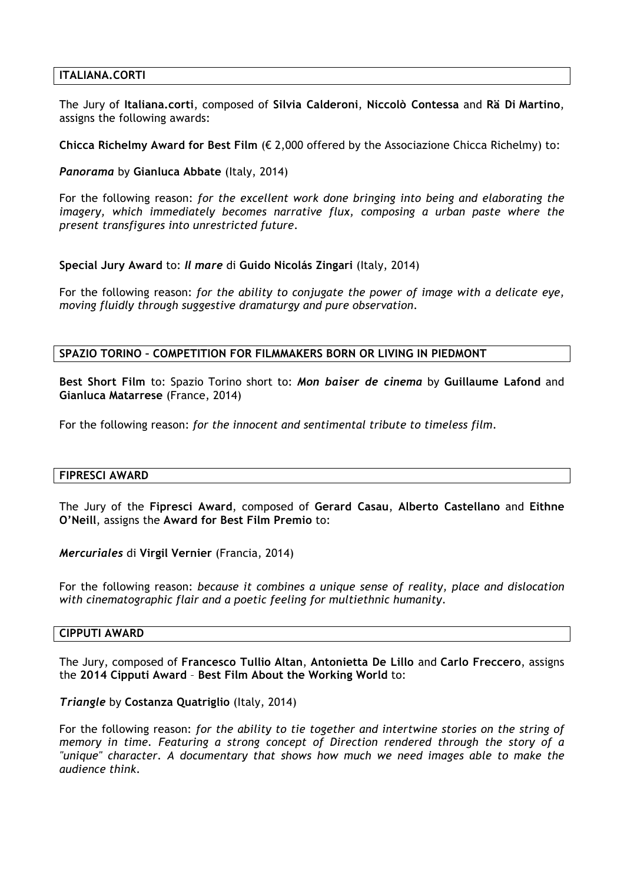#### **ITALIANA.CORTI**

The Jury of **Italiana.corti**, composed of **Silvia Calderoni**, **Niccolò Contessa** and **Rä Di Martino**, assigns the following awards:

**Chicca Richelmy Award for Best Film** (€ 2,000 offered by the Associazione Chicca Richelmy) to:

*Panorama* by **Gianluca Abbate** (Italy, 2014)

For the following reason: *for the excellent work done bringing into being and elaborating the imagery, which immediately becomes narrative flux, composing a urban paste where the present transfigures into unrestricted future*.

**Special Jury Award** to: *Il mare* di **Guido Nicolás Zingari** (Italy, 2014)

For the following reason: *for the ability to conjugate the power of image with a delicate eye, moving fluidly through suggestive dramaturgy and pure observation*.

## **SPAZIO TORINO – COMPETITION FOR FILMMAKERS BORN OR LIVING IN PIEDMONT**

**Best Short Film** to: Spazio Torino short to: *Mon baiser de cinema* by **Guillaume Lafond** and **Gianluca Matarrese** (France, 2014)

For the following reason: *for the innocent and sentimental tribute to timeless film*.

#### **FIPRESCI AWARD**

The Jury of the **Fipresci Award**, composed of **Gerard Casau**, **Alberto Castellano** and **Eithne O'Neill**, assigns the **Award for Best Film Premio** to:

*Mercuriales* di **Virgil Vernier** (Francia, 2014)

For the following reason: *because it combines a unique sense of reality, place and dislocation with cinematographic flair and a poetic feeling for multiethnic humanity*.

#### **CIPPUTI AWARD**

The Jury, composed of **Francesco Tullio Altan**, **Antonietta De Lillo** and **Carlo Freccero**, assigns the **2014 Cipputi Award** – **Best Film About the Working World** to:

#### *Triangle* by **Costanza Quatriglio** (Italy, 2014)

For the following reason: *for the ability to tie together and intertwine stories on the string of memory in time. Featuring a strong concept of Direction rendered through the story of a "unique" character. A documentary that shows how much we need images able to make the audience think*.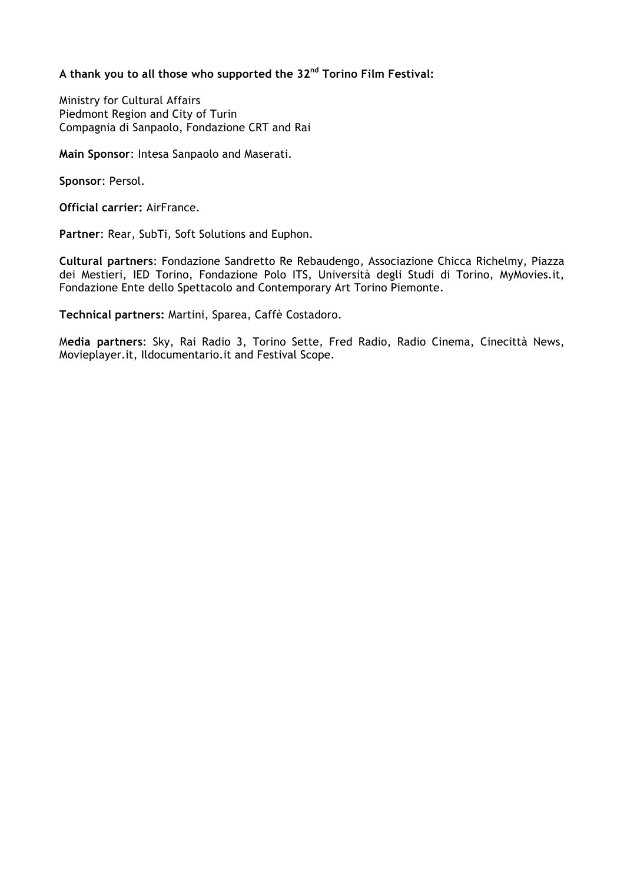# **A thank you to all those who supported the 32nd Torino Film Festival:**

Ministry for Cultural Affairs Piedmont Region and City of Turin Compagnia di Sanpaolo, Fondazione CRT and Rai

**Main Sponsor**: Intesa Sanpaolo and Maserati.

**Sponsor**: Persol.

**Official carrier:** AirFrance.

**Partner**: Rear, SubTi, Soft Solutions and Euphon.

**Cultural partners**: Fondazione Sandretto Re Rebaudengo, Associazione Chicca Richelmy, Piazza dei Mestieri, IED Torino, Fondazione Polo ITS, Università degli Studi di Torino, MyMovies.it, Fondazione Ente dello Spettacolo and Contemporary Art Torino Piemonte.

**Technical partners:** Martini, Sparea, Caffè Costadoro.

M**edia partners**: Sky, Rai Radio 3, Torino Sette, Fred Radio, Radio Cinema, Cinecittà News, Movieplayer.it, Ildocumentario.it and Festival Scope.